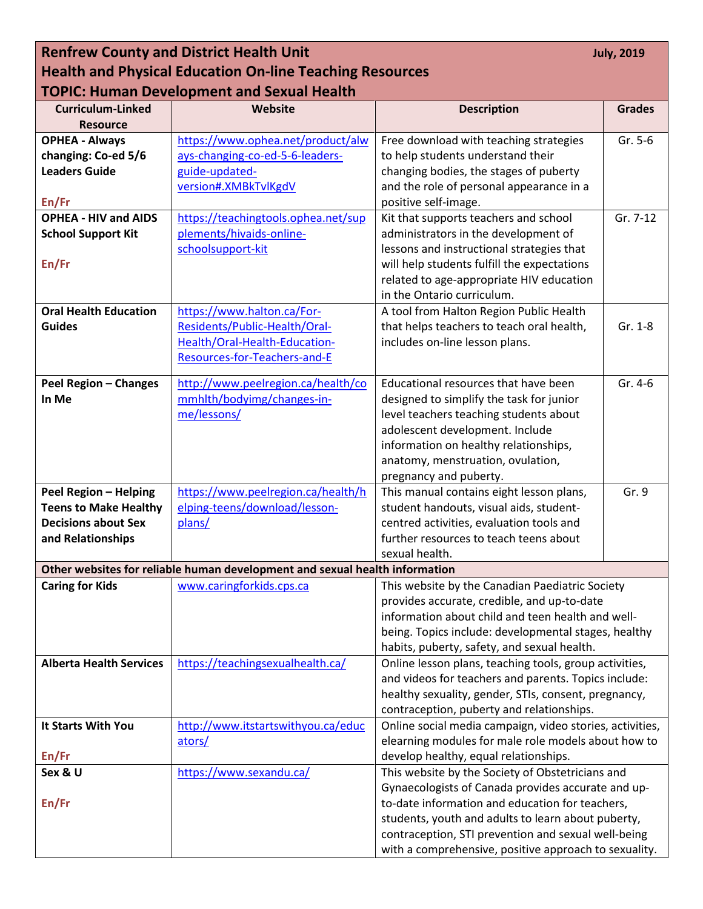| <b>Renfrew County and District Health Unit</b>                              |                                     |                                                                                                       | <b>July, 2019</b> |  |
|-----------------------------------------------------------------------------|-------------------------------------|-------------------------------------------------------------------------------------------------------|-------------------|--|
| <b>Health and Physical Education On-line Teaching Resources</b>             |                                     |                                                                                                       |                   |  |
| <b>TOPIC: Human Development and Sexual Health</b>                           |                                     |                                                                                                       |                   |  |
| <b>Curriculum-Linked</b>                                                    | Website                             | <b>Description</b>                                                                                    | <b>Grades</b>     |  |
| <b>Resource</b>                                                             |                                     |                                                                                                       |                   |  |
| <b>OPHEA - Always</b>                                                       | https://www.ophea.net/product/alw   | Free download with teaching strategies                                                                | Gr. 5-6           |  |
| changing: Co-ed 5/6                                                         | ays-changing-co-ed-5-6-leaders-     | to help students understand their                                                                     |                   |  |
| <b>Leaders Guide</b>                                                        | guide-updated-                      | changing bodies, the stages of puberty                                                                |                   |  |
|                                                                             | version#.XMBkTvlKgdV                | and the role of personal appearance in a                                                              |                   |  |
| En/Fr                                                                       |                                     | positive self-image.                                                                                  |                   |  |
| <b>OPHEA - HIV and AIDS</b>                                                 | https://teachingtools.ophea.net/sup | Kit that supports teachers and school                                                                 | Gr. 7-12          |  |
| <b>School Support Kit</b>                                                   | plements/hivaids-online-            | administrators in the development of                                                                  |                   |  |
|                                                                             | schoolsupport-kit                   | lessons and instructional strategies that                                                             |                   |  |
| En/Fr                                                                       |                                     | will help students fulfill the expectations                                                           |                   |  |
|                                                                             |                                     | related to age-appropriate HIV education<br>in the Ontario curriculum.                                |                   |  |
| <b>Oral Health Education</b>                                                | https://www.halton.ca/For-          | A tool from Halton Region Public Health                                                               |                   |  |
| <b>Guides</b>                                                               | Residents/Public-Health/Oral-       | that helps teachers to teach oral health,                                                             | Gr. 1-8           |  |
|                                                                             | Health/Oral-Health-Education-       | includes on-line lesson plans.                                                                        |                   |  |
|                                                                             | Resources-for-Teachers-and-E        |                                                                                                       |                   |  |
|                                                                             |                                     |                                                                                                       |                   |  |
| <b>Peel Region - Changes</b>                                                | http://www.peelregion.ca/health/co  | Educational resources that have been                                                                  | Gr. 4-6           |  |
| In Me                                                                       | mmhlth/bodyimg/changes-in-          | designed to simplify the task for junior                                                              |                   |  |
|                                                                             | me/lessons/                         | level teachers teaching students about                                                                |                   |  |
|                                                                             |                                     | adolescent development. Include                                                                       |                   |  |
|                                                                             |                                     | information on healthy relationships,                                                                 |                   |  |
|                                                                             |                                     | anatomy, menstruation, ovulation,                                                                     |                   |  |
|                                                                             |                                     | pregnancy and puberty.                                                                                |                   |  |
| <b>Peel Region - Helping</b>                                                | https://www.peelregion.ca/health/h  | This manual contains eight lesson plans,                                                              | Gr. 9             |  |
| <b>Teens to Make Healthy</b>                                                | elping-teens/download/lesson-       | student handouts, visual aids, student-                                                               |                   |  |
| <b>Decisions about Sex</b>                                                  | plans/                              | centred activities, evaluation tools and                                                              |                   |  |
| and Relationships                                                           |                                     | further resources to teach teens about                                                                |                   |  |
|                                                                             |                                     | sexual health.                                                                                        |                   |  |
| Other websites for reliable human development and sexual health information |                                     |                                                                                                       |                   |  |
| <b>Caring for Kids</b>                                                      | www.caringforkids.cps.ca            | This website by the Canadian Paediatric Society                                                       |                   |  |
|                                                                             |                                     | provides accurate, credible, and up-to-date                                                           |                   |  |
|                                                                             |                                     | information about child and teen health and well-                                                     |                   |  |
|                                                                             |                                     | being. Topics include: developmental stages, healthy                                                  |                   |  |
| <b>Alberta Health Services</b>                                              |                                     | habits, puberty, safety, and sexual health.<br>Online lesson plans, teaching tools, group activities, |                   |  |
|                                                                             | https://teachingsexualhealth.ca/    | and videos for teachers and parents. Topics include:                                                  |                   |  |
|                                                                             |                                     | healthy sexuality, gender, STIs, consent, pregnancy,                                                  |                   |  |
|                                                                             |                                     | contraception, puberty and relationships.                                                             |                   |  |
| It Starts With You                                                          | http://www.itstartswithyou.ca/educ  | Online social media campaign, video stories, activities,                                              |                   |  |
|                                                                             | ators/                              | elearning modules for male role models about how to                                                   |                   |  |
| En/Fr                                                                       |                                     | develop healthy, equal relationships.                                                                 |                   |  |
| Sex & U                                                                     | https://www.sexandu.ca/             | This website by the Society of Obstetricians and                                                      |                   |  |
|                                                                             |                                     | Gynaecologists of Canada provides accurate and up-                                                    |                   |  |
| En/Fr                                                                       |                                     | to-date information and education for teachers,                                                       |                   |  |
|                                                                             |                                     | students, youth and adults to learn about puberty,                                                    |                   |  |
|                                                                             |                                     | contraception, STI prevention and sexual well-being                                                   |                   |  |
|                                                                             |                                     | with a comprehensive, positive approach to sexuality.                                                 |                   |  |